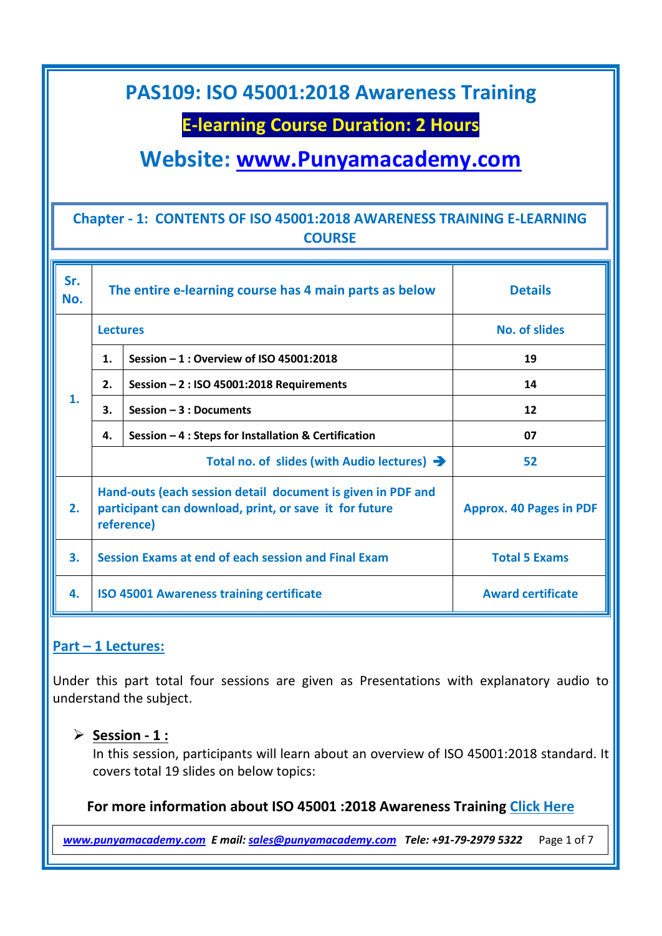### **E-learning Course Duration: 2 Hours**

**Website: [www.Punyamacademy.com](http://www.punyamacademy.com/)**

#### **Chapter - 1: CONTENTS OF ISO 45001:2018 AWARENESS TRAINING E-LEARNING COURSE**

| Sr.<br>No.    | The entire e-learning course has 4 main parts as below                                                                              |                                                      | <b>Details</b>                 |
|---------------|-------------------------------------------------------------------------------------------------------------------------------------|------------------------------------------------------|--------------------------------|
| $\mathbf 1$ . | <b>Lectures</b>                                                                                                                     |                                                      | <b>No. of slides</b>           |
|               | 1.                                                                                                                                  | Session - 1 : Overview of ISO 45001:2018             | 19                             |
|               | 2.                                                                                                                                  | Session $-2$ : ISO 45001:2018 Requirements           | 14                             |
|               | З.                                                                                                                                  | Session $-3:$ Documents                              | 12                             |
|               | 4.                                                                                                                                  | Session - 4 : Steps for Installation & Certification | 07                             |
|               | Total no. of slides (with Audio lectures) $\rightarrow$                                                                             |                                                      | 52                             |
| 2.            | Hand-outs (each session detail document is given in PDF and<br>participant can download, print, or save it for future<br>reference) |                                                      | <b>Approx. 40 Pages in PDF</b> |
| 3.            | Session Exams at end of each session and Final Exam                                                                                 |                                                      | <b>Total 5 Exams</b>           |
| 4.            | <b>ISO 45001 Awareness training certificate</b>                                                                                     |                                                      | <b>Award certificate</b>       |

#### **Part – 1 Lectures:**

Under this part total four sessions are given as Presentations with explanatory audio to understand the subject.

#### **Session - 1 :**

In this session, participants will learn about an overview of ISO 45001:2018 standard. It covers total 19 slides on below topics:

#### **For more information about ISO 45001 :2018 Awareness Training [Click Here](https://www.punyamacademy.com/course/hse/iso-45001-awareness-training)**

*[www.punyamacademy.com](https://www.punyamacademy.com/) E mail[: sales@punyamacademy.com](mailto:sales@punyamacademy.com) Tele: +91-79-2979 5322* Page 1 of 7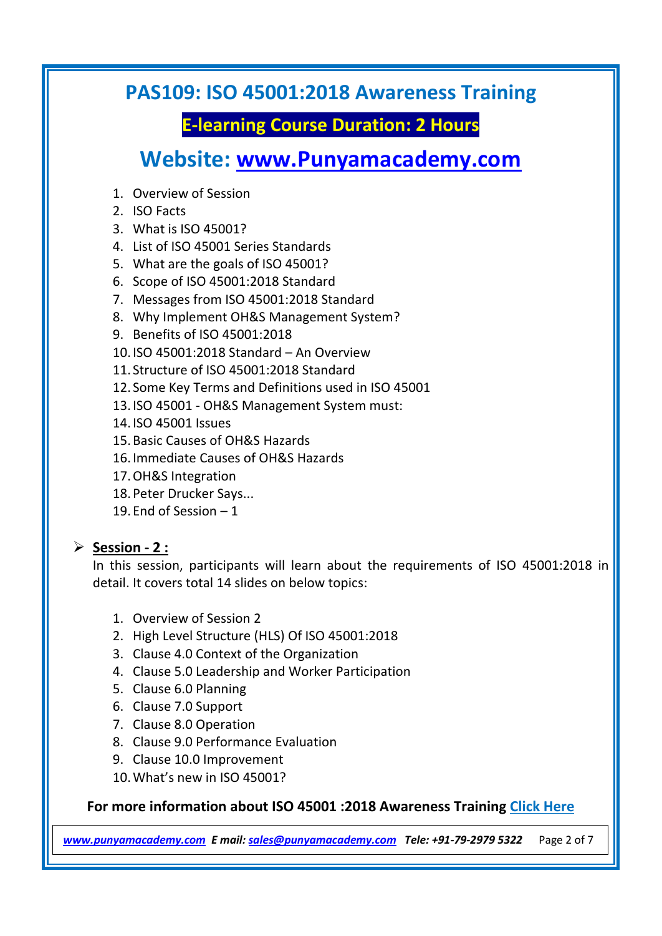# **E-learning Course Duration: 2 Hours**

**Website: [www.Punyamacademy.com](http://www.punyamacademy.com/)**

- 1. Overview of Session
- 2. ISO Facts
- 3. What is ISO 45001?
- 4. List of ISO 45001 Series Standards
- 5. What are the goals of ISO 45001?
- 6. Scope of ISO 45001:2018 Standard
- 7. Messages from ISO 45001:2018 Standard
- 8. Why Implement OH&S Management System?
- 9. Benefits of ISO 45001:2018
- 10.ISO 45001:2018 Standard An Overview
- 11. Structure of ISO 45001:2018 Standard
- 12. Some Key Terms and Definitions used in ISO 45001
- 13.ISO 45001 OH&S Management System must:
- 14.ISO 45001 Issues
- 15.Basic Causes of OH&S Hazards
- 16.Immediate Causes of OH&S Hazards
- 17.OH&S Integration
- 18.Peter Drucker Says...
- 19.End of Session 1

#### **Session - 2 :**

In this session, participants will learn about the requirements of ISO 45001:2018 in detail. It covers total 14 slides on below topics:

- 1. Overview of Session 2
- 2. High Level Structure (HLS) Of ISO 45001:2018
- 3. Clause 4.0 Context of the Organization
- 4. Clause 5.0 Leadership and Worker Participation
- 5. Clause 6.0 Planning
- 6. Clause 7.0 Support
- 7. Clause 8.0 Operation
- 8. Clause 9.0 Performance Evaluation
- 9. Clause 10.0 Improvement
- 10.What's new in ISO 45001?

**For more information about ISO 45001 :2018 Awareness Training [Click Here](https://www.punyamacademy.com/course/hse/iso-45001-awareness-training)**

*[www.punyamacademy.com](https://www.punyamacademy.com/) E mail[: sales@punyamacademy.com](mailto:sales@punyamacademy.com) Tele: +91-79-2979 5322* Page 2 of 7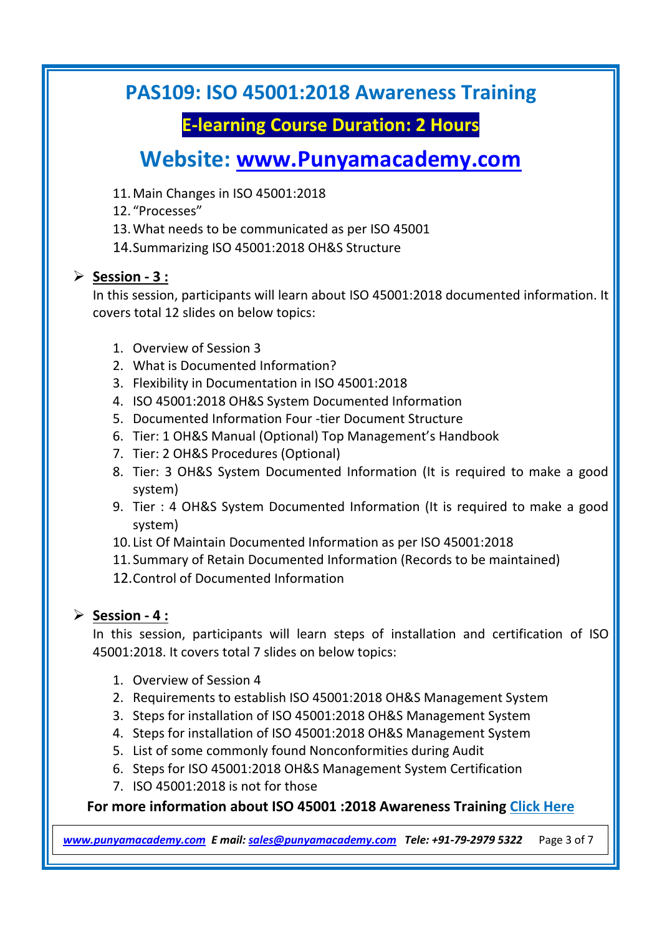# **E-learning Course Duration: 2 Hours**

# **Website: [www.Punyamacademy.com](http://www.punyamacademy.com/)**

- 11.Main Changes in ISO 45001:2018
- 12. "Processes"
- 13.What needs to be communicated as per ISO 45001
- 14.Summarizing ISO 45001:2018 OH&S Structure

#### **Session - 3 :**

In this session, participants will learn about ISO 45001:2018 documented information. It covers total 12 slides on below topics:

- 1. Overview of Session 3
- 2. What is Documented Information?
- 3. Flexibility in Documentation in ISO 45001:2018
- 4. ISO 45001:2018 OH&S System Documented Information
- 5. Documented Information Four -tier Document Structure
- 6. Tier: 1 OH&S Manual (Optional) Top Management's Handbook
- 7. Tier: 2 OH&S Procedures (Optional)
- 8. Tier: 3 OH&S System Documented Information (It is required to make a good system)
- 9. Tier : 4 OH&S System Documented Information (It is required to make a good system)
- 10. List Of Maintain Documented Information as per ISO 45001:2018
- 11. Summary of Retain Documented Information (Records to be maintained)
- 12.Control of Documented Information

#### **Session - 4 :**

In this session, participants will learn steps of installation and certification of ISO 45001:2018. It covers total 7 slides on below topics:

- 1. Overview of Session 4
- 2. Requirements to establish ISO 45001:2018 OH&S Management System
- 3. Steps for installation of ISO 45001:2018 OH&S Management System
- 4. Steps for installation of ISO 45001:2018 OH&S Management System
- 5. List of some commonly found Nonconformities during Audit
- 6. Steps for ISO 45001:2018 OH&S Management System Certification
- 7. ISO 45001:2018 is not for those

#### **For more information about ISO 45001 :2018 Awareness Training [Click Here](https://www.punyamacademy.com/course/hse/iso-45001-awareness-training)**

*[www.punyamacademy.com](https://www.punyamacademy.com/) E mail[: sales@punyamacademy.com](mailto:sales@punyamacademy.com) Tele: +91-79-2979 5322* Page 3 of 7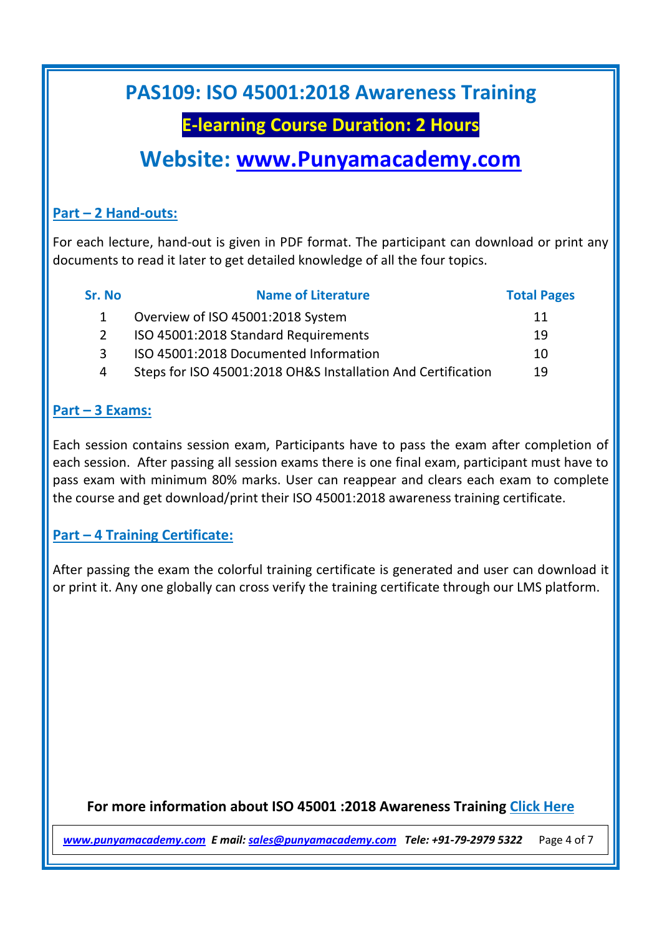## **E-learning Course Duration: 2 Hours**

# **Website: [www.Punyamacademy.com](http://www.punyamacademy.com/)**

#### **Part – 2 Hand-outs:**

For each lecture, hand-out is given in PDF format. The participant can download or print any documents to read it later to get detailed knowledge of all the four topics.

| Sr. No | <b>Name of Literature</b>                                    | <b>Total Pages</b> |
|--------|--------------------------------------------------------------|--------------------|
|        | Overview of ISO 45001:2018 System                            | 11                 |
|        | ISO 45001:2018 Standard Requirements                         | 19                 |
| ર      | ISO 45001:2018 Documented Information                        | 10                 |
| 4      | Steps for ISO 45001:2018 OH&S Installation And Certification | 19                 |

#### **Part – 3 Exams:**

Each session contains session exam, Participants have to pass the exam after completion of each session. After passing all session exams there is one final exam, participant must have to pass exam with minimum 80% marks. User can reappear and clears each exam to complete the course and get download/print their ISO 45001:2018 awareness training certificate.

#### **Part – 4 Training Certificate:**

After passing the exam the colorful training certificate is generated and user can download it or print it. Any one globally can cross verify the training certificate through our LMS platform.

**For more information about ISO 45001 :2018 Awareness Training [Click Here](https://www.punyamacademy.com/course/hse/iso-45001-awareness-training)**

*[www.punyamacademy.com](https://www.punyamacademy.com/) E mail[: sales@punyamacademy.com](mailto:sales@punyamacademy.com) Tele: +91-79-2979 5322* Page 4 of 7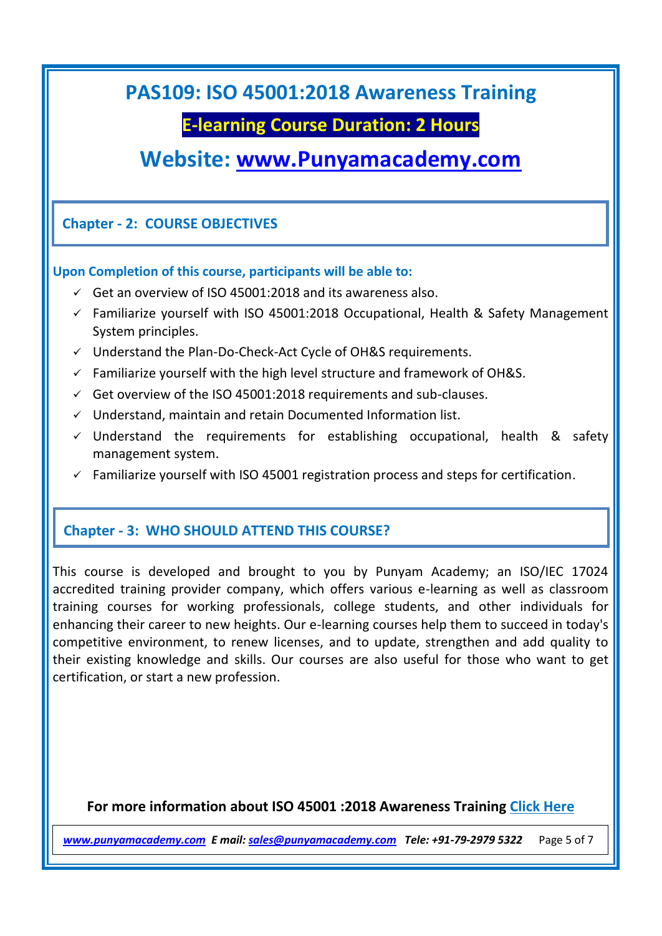### **E-learning Course Duration: 2 Hours**

# **Website: [www.Punyamacademy.com](http://www.punyamacademy.com/)**

#### **Chapter - 2: COURSE OBJECTIVES**

#### **Upon Completion of this course, participants will be able to:**

- $\checkmark$  Get an overview of ISO 45001:2018 and its awareness also.
- $\checkmark$  Familiarize yourself with ISO 45001:2018 Occupational, Health & Safety Management System principles.
- $\checkmark$  Understand the Plan-Do-Check-Act Cycle of OH&S requirements.
- $\checkmark$  Familiarize yourself with the high level structure and framework of OH&S.
- $\checkmark$  Get overview of the ISO 45001:2018 requirements and sub-clauses.
- $\checkmark$  Understand, maintain and retain Documented Information list.
- $\checkmark$  Understand the requirements for establishing occupational, health & safety management system.
- $\checkmark$  Familiarize yourself with ISO 45001 registration process and steps for certification.

#### **Chapter - 3: WHO SHOULD ATTEND THIS COURSE?**

This course is developed and brought to you by Punyam Academy; an ISO/IEC 17024 accredited training provider company, which offers various e-learning as well as classroom training courses for working professionals, college students, and other individuals for enhancing their career to new heights. Our e-learning courses help them to succeed in today's competitive environment, to renew licenses, and to update, strengthen and add quality to their existing knowledge and skills. Our courses are also useful for those who want to get certification, or start a new profession.

#### **For more information about ISO 45001 :2018 Awareness Training [Click Here](https://www.punyamacademy.com/course/hse/iso-45001-awareness-training)**

*[www.punyamacademy.com](https://www.punyamacademy.com/) E mail[: sales@punyamacademy.com](mailto:sales@punyamacademy.com) Tele: +91-79-2979 5322* Page 5 of 7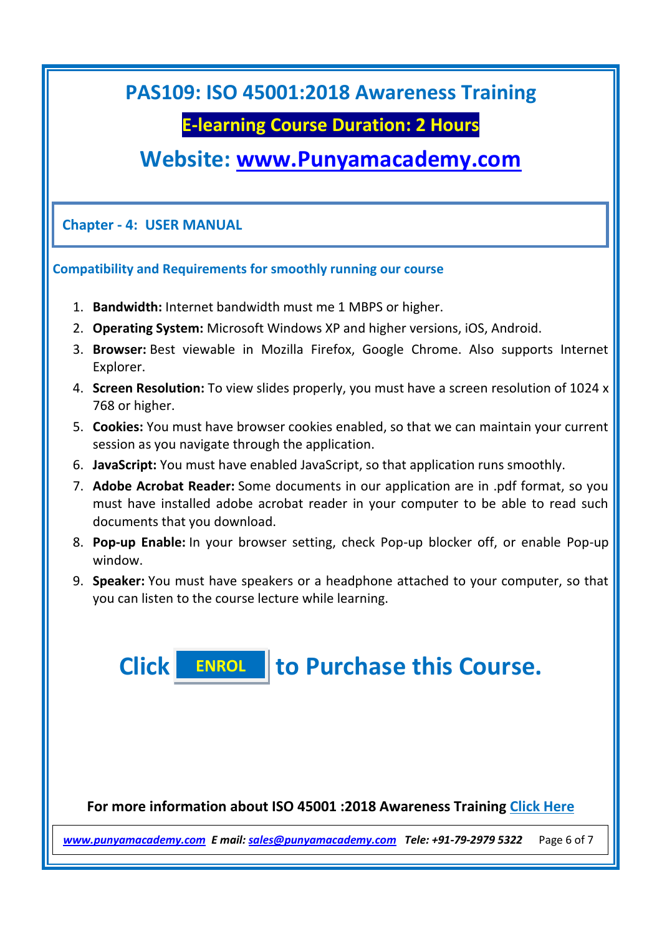### **E-learning Course Duration: 2 Hours**

# **Website: [www.Punyamacademy.com](http://www.punyamacademy.com/)**

**Chapter - 4: USER MANUAL**

#### **Compatibility and Requirements for smoothly running our course**

- 1. **Bandwidth:** Internet bandwidth must me 1 MBPS or higher.
- 2. **Operating System:** Microsoft Windows XP and higher versions, iOS, Android.
- 3. **Browser:** Best viewable in Mozilla Firefox, Google Chrome. Also supports Internet Explorer.
- 4. **Screen Resolution:** To view slides properly, you must have a screen resolution of 1024 x 768 or higher.
- 5. **Cookies:** You must have browser cookies enabled, so that we can maintain your current session as you navigate through the application.
- 6. **JavaScript:** You must have enabled JavaScript, so that application runs smoothly.
- 7. **Adobe Acrobat Reader:** Some documents in our application are in .pdf format, so you must have installed adobe acrobat reader in your computer to be able to read such documents that you download.
- 8. **Pop-up Enable:** In your browser setting, check Pop-up blocker off, or enable Pop-up window.
- 9. **Speaker:** You must have speakers or a headphone attached to your computer, so that you can listen to the course lecture while learning.

**Click to Purchase this Course. [ENROL](https://www.punyamacademy.com/book/iso-45001-awareness-training)**

**For more information about ISO 45001 :2018 Awareness Training [Click Here](https://www.punyamacademy.com/course/hse/iso-45001-awareness-training)**

*[www.punyamacademy.com](https://www.punyamacademy.com/) E mail[: sales@punyamacademy.com](mailto:sales@punyamacademy.com) Tele: +91-79-2979 5322* Page 6 of 7